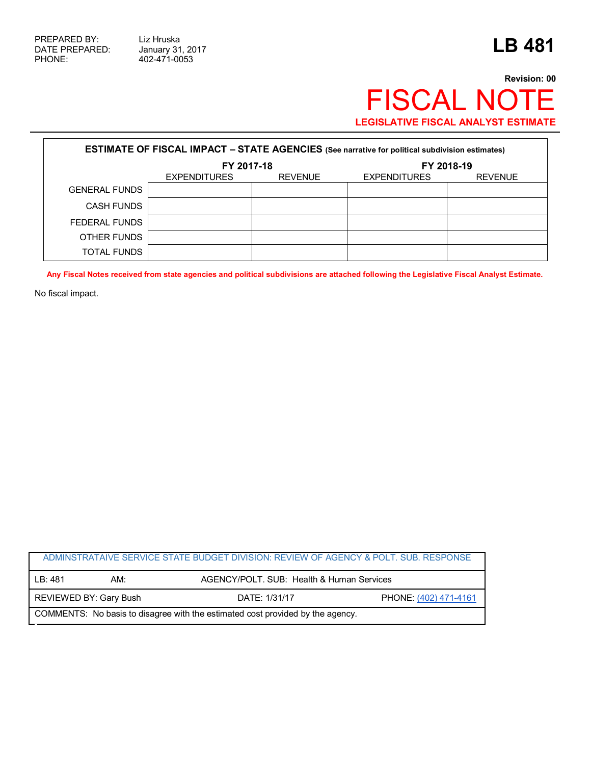## **Revision: 00** FISCAL NOTE **LEGISLATIVE FISCAL ANALYST ESTIMATE**

| <b>ESTIMATE OF FISCAL IMPACT - STATE AGENCIES</b> (See narrative for political subdivision estimates) |                     |                |                     |                |  |  |
|-------------------------------------------------------------------------------------------------------|---------------------|----------------|---------------------|----------------|--|--|
|                                                                                                       | FY 2017-18          |                | FY 2018-19          |                |  |  |
|                                                                                                       | <b>EXPENDITURES</b> | <b>REVENUE</b> | <b>EXPENDITURES</b> | <b>REVENUE</b> |  |  |
| <b>GENERAL FUNDS</b>                                                                                  |                     |                |                     |                |  |  |
| <b>CASH FUNDS</b>                                                                                     |                     |                |                     |                |  |  |
| FEDERAL FUNDS                                                                                         |                     |                |                     |                |  |  |
| OTHER FUNDS                                                                                           |                     |                |                     |                |  |  |
| TOTAL FUNDS                                                                                           |                     |                |                     |                |  |  |

**Any Fiscal Notes received from state agencies and political subdivisions are attached following the Legislative Fiscal Analyst Estimate.**

No fiscal impact.

| ADMINSTRATAIVE SERVICE STATE BUDGET DIVISION: REVIEW OF AGENCY & POLT. SUB. RESPONSE |                               |               |                                           |  |  |
|--------------------------------------------------------------------------------------|-------------------------------|---------------|-------------------------------------------|--|--|
| I B: 481                                                                             | AM:                           |               | AGENCY/POLT, SUB: Health & Human Services |  |  |
|                                                                                      | <b>REVIEWED BY: Gary Bush</b> | DATE: 1/31/17 | PHONE: (402) 471-4161                     |  |  |
| COMMENTS: No basis to disagree with the estimated cost provided by the agency.       |                               |               |                                           |  |  |